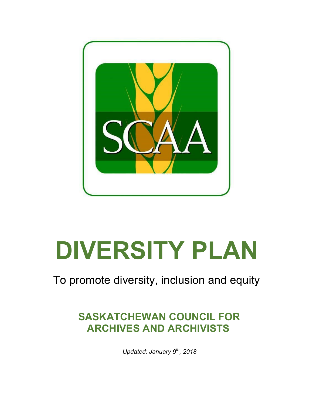

# **DIVERSITY PLAN**

# To promote diversity, inclusion and equity

## **SASKATCHEWAN COUNCIL FOR ARCHIVES AND ARCHIVISTS**

*Updated: January 9th, 2018*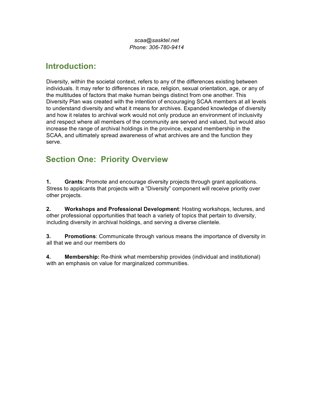*scaa@sasktel.net Phone: 306-780-9414* 

#### **Introduction:**

Diversity, within the societal context, refers to any of the differences existing between individuals. It may refer to differences in race, religion, sexual orientation, age, or any of the multitudes of factors that make human beings distinct from one another. This Diversity Plan was created with the intention of encouraging SCAA members at all levels to understand diversity and what it means for archives. Expanded knowledge of diversity and how it relates to archival work would not only produce an environment of inclusivity and respect where all members of the community are served and valued, but would also increase the range of archival holdings in the province, expand membership in the SCAA, and ultimately spread awareness of what archives are and the function they serve.

#### **Section One: Priority Overview**

**1. Grants**: Promote and encourage diversity projects through grant applications. Stress to applicants that projects with a "Diversity" component will receive priority over other projects.

**2. Workshops and Professional Development**: Hosting workshops, lectures, and other professional opportunities that teach a variety of topics that pertain to diversity, including diversity in archival holdings, and serving a diverse clientele.

**3. Promotions**: Communicate through various means the importance of diversity in all that we and our members do

**4. Membership:** Re-think what membership provides (individual and institutional) with an emphasis on value for marginalized communities.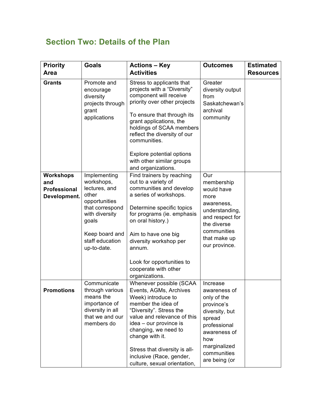### **Section Two: Details of the Plan**

| <b>Priority</b><br>Area                                 | <b>Goals</b>                                                                                                                                                            | <b>Actions - Key</b><br><b>Activities</b>                                                                                                                                                                                                                                                                                               | <b>Outcomes</b>                                                                                                                                                          | <b>Estimated</b><br><b>Resources</b> |
|---------------------------------------------------------|-------------------------------------------------------------------------------------------------------------------------------------------------------------------------|-----------------------------------------------------------------------------------------------------------------------------------------------------------------------------------------------------------------------------------------------------------------------------------------------------------------------------------------|--------------------------------------------------------------------------------------------------------------------------------------------------------------------------|--------------------------------------|
| <b>Grants</b>                                           | Promote and<br>encourage<br>diversity<br>projects through<br>grant<br>applications                                                                                      | Stress to applicants that<br>projects with a "Diversity"<br>component will receive<br>priority over other projects<br>To ensure that through its<br>grant applications, the<br>holdings of SCAA members<br>reflect the diversity of our<br>communities.<br>Explore potential options<br>with other similar groups<br>and organizations. | Greater<br>diversity output<br>from<br>Saskatchewan's<br>archival<br>community                                                                                           |                                      |
| Workshops<br>and<br><b>Professional</b><br>Development. | Implementing<br>workshops,<br>lectures, and<br>other<br>opportunities<br>that correspond<br>with diversity<br>goals<br>Keep board and<br>staff education<br>up-to-date. | Find trainers by reaching<br>out to a variety of<br>communities and develop<br>a series of workshops.<br>Determine specific topics<br>for programs (ie. emphasis<br>on oral history.)<br>Aim to have one big<br>diversity workshop per<br>annum.<br>Look for opportunities to<br>cooperate with other<br>organizations.                 | Our<br>membership<br>would have<br>more<br>awareness,<br>understanding,<br>and respect for<br>the diverse<br>communities<br>that make up<br>our province.                |                                      |
| Promotions                                              | Communicate<br>through various<br>means the<br>importance of<br>diversity in all<br>that we and our<br>members do                                                       | Whenever possible (SCAA<br>Events, AGMs, Archives<br>Week) introduce to<br>member the idea of<br>"Diversity". Stress the<br>value and relevance of this<br>idea – our province is<br>changing, we need to<br>change with it.<br>Stress that diversity is all-<br>inclusive (Race, gender,<br>culture, sexual orientation,               | Increase<br>awareness of<br>only of the<br>province's<br>diversity, but<br>spread<br>professional<br>awareness of<br>how<br>marginalized<br>communities<br>are being (or |                                      |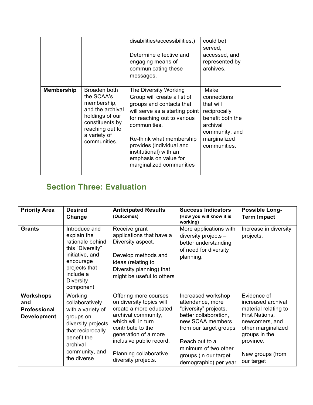|                   |                                                                                                                                                        | disabilities/accessibilities.)<br>Determine effective and<br>engaging means of<br>communicating these<br>messages.                                                                                                                                                                                       | could be)<br>served,<br>accessed, and<br>represented by<br>archives.                                                               |  |
|-------------------|--------------------------------------------------------------------------------------------------------------------------------------------------------|----------------------------------------------------------------------------------------------------------------------------------------------------------------------------------------------------------------------------------------------------------------------------------------------------------|------------------------------------------------------------------------------------------------------------------------------------|--|
| <b>Membership</b> | Broaden both<br>the SCAA's<br>membership,<br>and the archival<br>holdings of our<br>constituents by<br>reaching out to<br>a variety of<br>communities. | The Diversity Working<br>Group will create a list of<br>groups and contacts that<br>will serve as a starting point<br>for reaching out to various<br>communities.<br>Re-think what membership<br>provides (individual and<br>institutional) with an<br>emphasis on value for<br>marginalized communities | Make<br>connections<br>that will<br>reciprocally<br>benefit both the<br>archival<br>community, and<br>marginalized<br>communities. |  |

## **Section Three: Evaluation**

| <b>Priority Area</b>                                                 | <b>Desired</b><br>Change                                                                                                                                            | <b>Anticipated Results</b><br>(Outcomes)                                                                                                                                                                                                           | <b>Success Indicators</b><br>(How you will know it is<br>working)                                                                                                                                                                  | <b>Possible Long-</b><br><b>Term Impact</b>                                                                                                                                         |
|----------------------------------------------------------------------|---------------------------------------------------------------------------------------------------------------------------------------------------------------------|----------------------------------------------------------------------------------------------------------------------------------------------------------------------------------------------------------------------------------------------------|------------------------------------------------------------------------------------------------------------------------------------------------------------------------------------------------------------------------------------|-------------------------------------------------------------------------------------------------------------------------------------------------------------------------------------|
| <b>Grants</b>                                                        | Introduce and<br>explain the<br>rationale behind<br>this "Diversity"<br>initiative, and<br>encourage<br>projects that<br>include a<br><b>Diversity</b><br>component | Receive grant<br>applications that have a<br>Diversity aspect.<br>Develop methods and<br>ideas (relating to<br>Diversity planning) that<br>might be useful to others                                                                               | More applications with<br>diversity projects $-$<br>better understanding<br>of need for diversity<br>planning.                                                                                                                     | Increase in diversity<br>projects.                                                                                                                                                  |
| <b>Workshops</b><br>and<br><b>Professional</b><br><b>Development</b> | Working<br>collaboratively<br>with a variety of<br>groups on<br>diversity projects<br>that reciprocally<br>benefit the<br>archival<br>community, and<br>the diverse | Offering more courses<br>on diversity topics will<br>create a more educated<br>archival community,<br>which will in turn<br>contribute to the<br>generation of a more<br>inclusive public record.<br>Planning collaborative<br>diversity projects. | Increased workshop<br>attendance, more<br>"diversity" projects,<br>better collaboration,<br>new SCAA members<br>from our target groups<br>Reach out to a<br>minimum of two other<br>groups (in our target<br>demographic) per year | Evidence of<br>increased archival<br>material relating to<br>First Nations,<br>newcomers, and<br>other marginalized<br>groups in the<br>province.<br>New groups (from<br>our target |